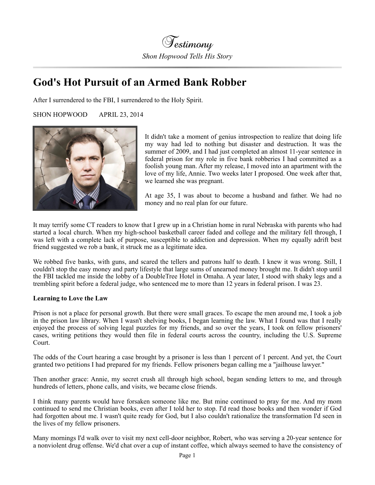

## **God's Hot Pursuit of an Armed Bank Robber**

After I surrendered to the FBI, I surrendered to the Holy Spirit.

SHON HOPWOOD APRIL 23, 2014



It didn't take a moment of genius introspection to realize that doing life my way had led to nothing but disaster and destruction. It was the summer of 2009, and I had just completed an almost 11-year sentence in federal prison for my role in five bank robberies I had committed as a foolish young man. After my release, I moved into an apartment with the love of my life, Annie. Two weeks later I proposed. One week after that, we learned she was pregnant.

At age 35, I was about to become a husband and father. We had no money and no real plan for our future.

It may terrify some CT readers to know that I grew up in a Christian home in rural Nebraska with parents who had started a local church. When my high-school basketball career faded and college and the military fell through, I was left with a complete lack of purpose, susceptible to addiction and depression. When my equally adrift best friend suggested we rob a bank, it struck me as a legitimate idea.

We robbed five banks, with guns, and scared the tellers and patrons half to death. I knew it was wrong. Still, I couldn't stop the easy money and party lifestyle that large sums of unearned money brought me. It didn't stop until the FBI tackled me inside the lobby of a DoubleTree Hotel in Omaha. A year later, I stood with shaky legs and a trembling spirit before a federal judge, who sentenced me to more than 12 years in federal prison. I was 23.

## **Learning to Love the Law**

Prison is not a place for personal growth. But there were small graces. To escape the men around me, I took a job in the prison law library. When I wasn't shelving books, I began learning the law. What I found was that I really enjoyed the process of solving legal puzzles for my friends, and so over the years, I took on fellow prisoners' cases, writing petitions they would then file in federal courts across the country, including the U.S. Supreme Court.

The odds of the Court hearing a case brought by a prisoner is less than 1 percent of 1 percent. And yet, the Court granted two petitions I had prepared for my friends. Fellow prisoners began calling me a "jailhouse lawyer."

Then another grace: Annie, my secret crush all through high school, began sending letters to me, and through hundreds of letters, phone calls, and visits, we became close friends.

I think many parents would have forsaken someone like me. But mine continued to pray for me. And my mom continued to send me Christian books, even after I told her to stop. I'd read those books and then wonder if God had forgotten about me. I wasn't quite ready for God, but I also couldn't rationalize the transformation I'd seen in the lives of my fellow prisoners.

Many mornings I'd walk over to visit my next cell-door neighbor, Robert, who was serving a 20-year sentence for a nonviolent drug offense. We'd chat over a cup of instant coffee, which always seemed to have the consistency of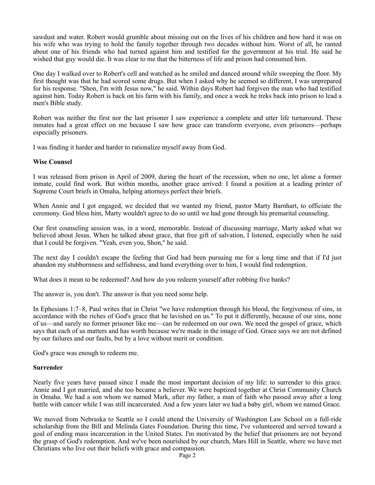sawdust and water. Robert would grumble about missing out on the lives of his children and how hard it was on his wife who was trying to hold the family together through two decades without him. Worst of all, he ranted about one of his friends who had turned against him and testified for the government at his trial. He said he wished that guy would die. It was clear to me that the bitterness of life and prison had consumed him.

One day I walked over to Robert's cell and watched as he smiled and danced around while sweeping the floor. My first thought was that he had scored some drugs. But when I asked why he seemed so different, I was unprepared for his response. "Shon, I'm with Jesus now," he said. Within days Robert had forgiven the man who had testified against him. Today Robert is back on his farm with his family, and once a week he treks back into prison to lead a men's Bible study.

Robert was neither the first nor the last prisoner I saw experience a complete and utter life turnaround. These inmates had a great effect on me because I saw how grace can transform everyone, even prisoners—perhaps especially prisoners.

I was finding it harder and harder to rationalize myself away from God.

## **Wise Counsel**

I was released from prison in April of 2009, during the heart of the recession, when no one, let alone a former inmate, could find work. But within months, another grace arrived: I found a position at a leading printer of Supreme Court briefs in Omaha, helping attorneys perfect their briefs.

When Annie and I got engaged, we decided that we wanted my friend, pastor Marty Barnhart, to officiate the ceremony. God bless him, Marty wouldn't agree to do so until we had gone through his premarital counseling.

Our first counseling session was, in a word, memorable. Instead of discussing marriage, Marty asked what we believed about Jesus. When he talked about grace, that free gift of salvation, I listened, especially when he said that I could be forgiven. "Yeah, even you, Shon," he said.

The next day I couldn't escape the feeling that God had been pursuing me for a long time and that if I'd just abandon my stubbornness and selfishness, and hand everything over to him, I would find redemption.

What does it mean to be redeemed? And how do you redeem yourself after robbing five banks?

The answer is, you don't. The answer is that you need some help.

In Ephesians 1:7–8, Paul writes that in Christ "we have redemption through his blood, the forgiveness of sins, in accordance with the riches of God's grace that he lavished on us." To put it differently, because of our sins, none of us—and surely no former prisoner like me—can be redeemed on our own. We need the gospel of grace, which says that each of us matters and has worth because we're made in the image of God. Grace says we are not defined by our failures and our faults, but by a love without merit or condition.

God's grace was enough to redeem me.

## **Surrender**

Nearly five years have passed since I made the most important decision of my life: to surrender to this grace. Annie and I got married, and she too became a believer. We were baptized together at Christ Community Church in Omaha. We had a son whom we named Mark, after my father, a man of faith who passed away after a long battle with cancer while I was still incarcerated. And a few years later we had a baby girl, whom we named Grace.

We moved from Nebraska to Seattle so I could attend the University of Washington Law School on a full-ride scholarship from the Bill and Melinda Gates Foundation. During this time, I've volunteered and served toward a goal of ending mass incarceration in the United States. I'm motivated by the belief that prisoners are not beyond the grasp of God's redemption. And we've been nourished by our church, Mars Hill in Seattle, where we have met Christians who live out their beliefs with grace and compassion.